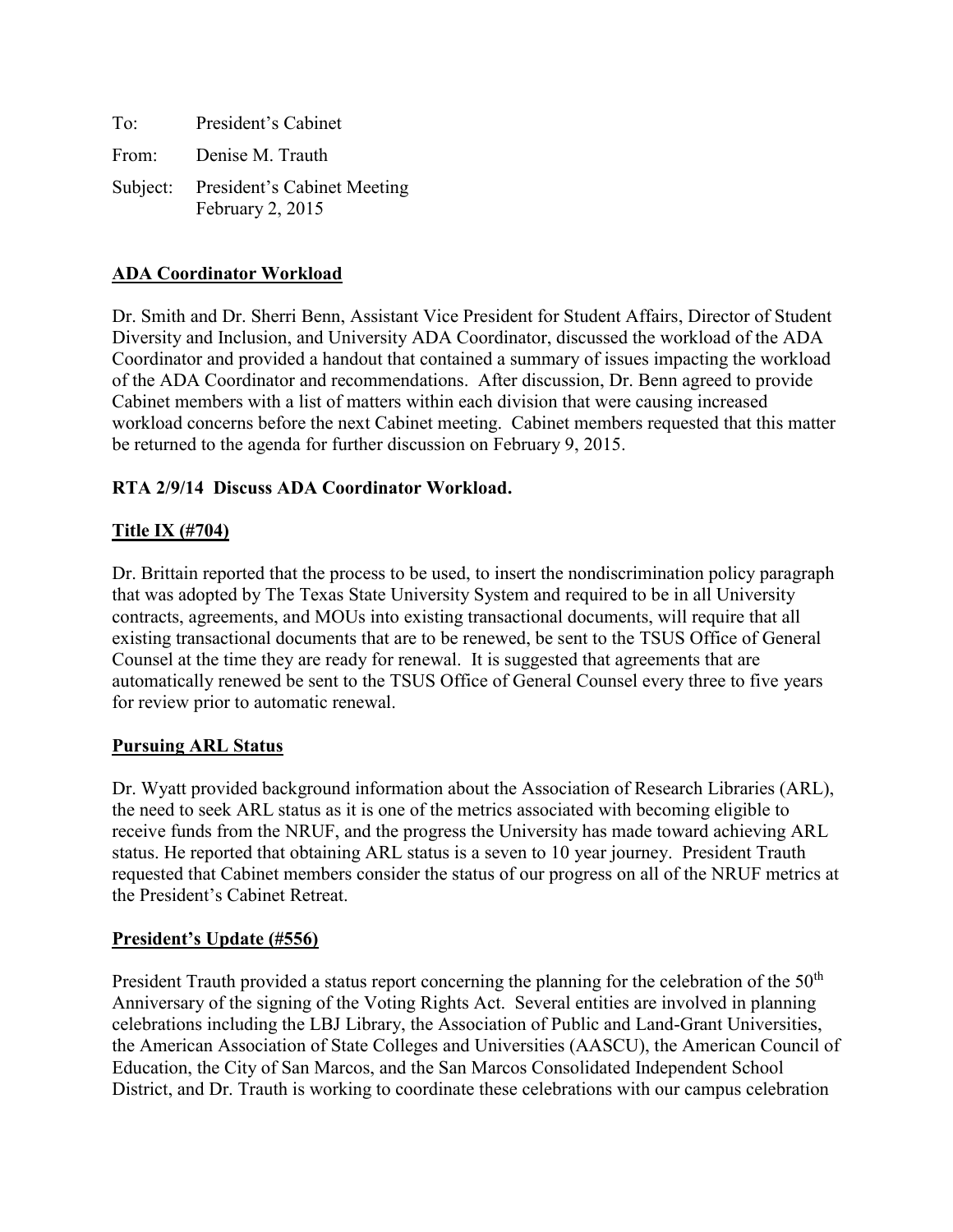| To: | President's Cabinet                                      |
|-----|----------------------------------------------------------|
|     | From: Denise M. Trauth                                   |
|     | Subject: President's Cabinet Meeting<br>February 2, 2015 |

# **ADA Coordinator Workload**

Dr. Smith and Dr. Sherri Benn, Assistant Vice President for Student Affairs, Director of Student Diversity and Inclusion, and University ADA Coordinator, discussed the workload of the ADA Coordinator and provided a handout that contained a summary of issues impacting the workload of the ADA Coordinator and recommendations. After discussion, Dr. Benn agreed to provide Cabinet members with a list of matters within each division that were causing increased workload concerns before the next Cabinet meeting. Cabinet members requested that this matter be returned to the agenda for further discussion on February 9, 2015.

### **RTA 2/9/14 Discuss ADA Coordinator Workload.**

# **Title IX (#704)**

Dr. Brittain reported that the process to be used, to insert the nondiscrimination policy paragraph that was adopted by The Texas State University System and required to be in all University contracts, agreements, and MOUs into existing transactional documents, will require that all existing transactional documents that are to be renewed, be sent to the TSUS Office of General Counsel at the time they are ready for renewal. It is suggested that agreements that are automatically renewed be sent to the TSUS Office of General Counsel every three to five years for review prior to automatic renewal.

### **Pursuing ARL Status**

Dr. Wyatt provided background information about the Association of Research Libraries (ARL), the need to seek ARL status as it is one of the metrics associated with becoming eligible to receive funds from the NRUF, and the progress the University has made toward achieving ARL status. He reported that obtaining ARL status is a seven to 10 year journey. President Trauth requested that Cabinet members consider the status of our progress on all of the NRUF metrics at the President's Cabinet Retreat.

# **President's Update (#556)**

President Trauth provided a status report concerning the planning for the celebration of the 50<sup>th</sup> Anniversary of the signing of the Voting Rights Act. Several entities are involved in planning celebrations including the LBJ Library, the Association of Public and Land-Grant Universities, the American Association of State Colleges and Universities (AASCU), the American Council of Education, the City of San Marcos, and the San Marcos Consolidated Independent School District, and Dr. Trauth is working to coordinate these celebrations with our campus celebration